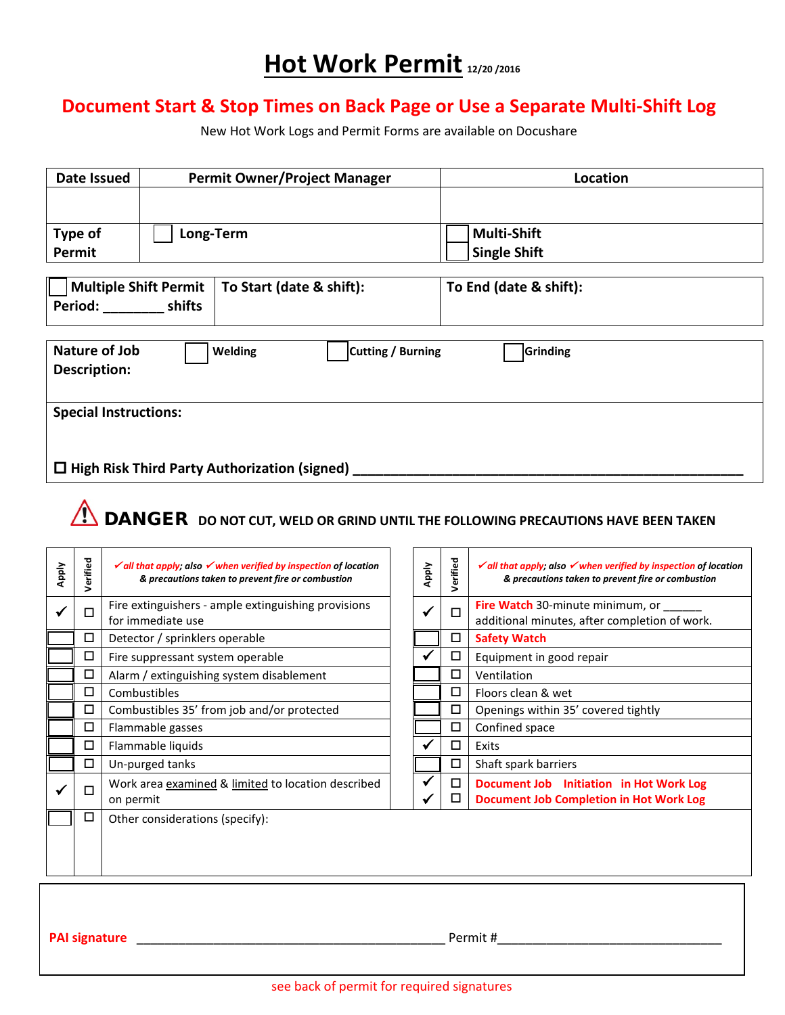## **Hot Work Permit 12/20 /2016**

### **Document Start & Stop Times on Back Page or Use a Separate Multi-Shift Log**

New Hot Work Logs and Permit Forms are available on Docushare

| Date Issued                  | <b>Permit Owner/Project Manager</b>                 |                   | Location               |
|------------------------------|-----------------------------------------------------|-------------------|------------------------|
|                              |                                                     |                   |                        |
| Type of                      | Long-Term                                           |                   | <b>Multi-Shift</b>     |
| Permit                       |                                                     |                   | <b>Single Shift</b>    |
|                              |                                                     |                   |                        |
| <b>Multiple Shift Permit</b> | To Start (date & shift):                            |                   | To End (date & shift): |
| Period: shifts               |                                                     |                   |                        |
|                              |                                                     |                   |                        |
| Nature of Job                | Welding                                             | Cutting / Burning | Grinding               |
| Description:                 |                                                     |                   |                        |
|                              |                                                     |                   |                        |
| <b>Special Instructions:</b> |                                                     |                   |                        |
|                              |                                                     |                   |                        |
|                              |                                                     |                   |                        |
|                              | $\Box$ High Risk Third Party Authorization (signed) |                   |                        |

# **COMPT ANGER DO NOT CUT, WELD OR GRIND UNTIL THE FOLLOWING PRECAUTIONS HAVE BEEN TAKEN**

| <b>Apply</b> | Verified | $\checkmark$ all that apply; also $\checkmark$ when verified by inspection of location<br>& precautions taken to prevent fire or combustion | Apply | Verified | $\checkmark$ all that apply; also $\checkmark$ when verified by inspection of location<br>& precautions taken to prevent fire or combustion |
|--------------|----------|---------------------------------------------------------------------------------------------------------------------------------------------|-------|----------|---------------------------------------------------------------------------------------------------------------------------------------------|
|              | П        | Fire extinguishers - ample extinguishing provisions<br>for immediate use                                                                    | ✔     | П        | <b>Fire Watch</b> 30-minute minimum, or<br>additional minutes, after completion of work.                                                    |
|              | □        | Detector / sprinklers operable                                                                                                              |       | □        | <b>Safety Watch</b>                                                                                                                         |
|              | □        | Fire suppressant system operable                                                                                                            | ✔     | □        | Equipment in good repair                                                                                                                    |
|              | □        | Alarm / extinguishing system disablement                                                                                                    |       | □        | Ventilation                                                                                                                                 |
|              | □        | Combustibles                                                                                                                                |       | П        | Floors clean & wet                                                                                                                          |
|              | □        | Combustibles 35' from job and/or protected                                                                                                  |       | □        | Openings within 35' covered tightly                                                                                                         |
|              | □        | Flammable gasses                                                                                                                            |       | □        | Confined space                                                                                                                              |
|              | □        | Flammable liquids                                                                                                                           |       | □        | Exits                                                                                                                                       |
|              | □        | Un-purged tanks                                                                                                                             |       | □        | Shaft spark barriers                                                                                                                        |
|              | П        | Work area examined & limited to location described<br>on permit                                                                             | ✔     | □<br>□   | Document Job Initiation in Hot Work Log<br><b>Document Job Completion in Hot Work Log</b>                                                   |
|              | □        | Other considerations (specify):                                                                                                             |       |          |                                                                                                                                             |
|              |          |                                                                                                                                             |       |          |                                                                                                                                             |
|              |          |                                                                                                                                             |       |          |                                                                                                                                             |

**PAI signature Letter and the signature Permit # Permit # Permit #**